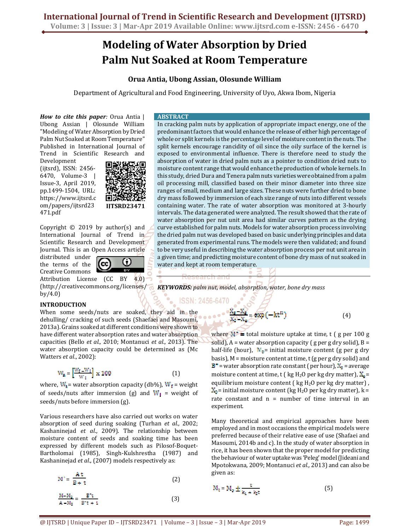# **Modeling of Water Absorption by Dried Palm Nut Soaked at Room Temperature**

# **Orua Antia, Ubong Assian, Olosunde William**

Department of Agricultural and Food Engineering, University of Uyo, Akwa Ibom, Nigeria

*How to cite this paper:* Orua Antia | Ubong Assian | Olosunde William "Modeling of Water Absorption by Dried Palm Nut Soaked at Room Temperature" Published in International Journal of Trend in Scientific Research and

Development (ijtsrd), ISSN: 2456- 6470, Volume-3 | Issue-3, April 2019, pp.1499-1504, URL: https://www.ijtsrd.c om/papers/ijtsrd23 471.pdf



Copyright  $\odot$  2019 by author(s) and International Journal of Trend in Scientific Research and Development Journal. This is an Open Access article

distributed under the terms of the Creative Commons



Attribution License (CC BY 4.0) (http://creativecommons.org/licenses/ by/4.0)

# **INTRODUCTION**

When some seeds/nuts are soaked, they aid in the dehulling/ cracking of such seeds (Shaefaei and Masoumi, 2013a). Grains soaked at different conditions were shown to have different water absorption rates and water absorption capacities (Bello *et al.,* 2010; Montanuci *et al.,* 2013). The water absorption capacity could be determined as (Mc Watters *et al*., 2002):

$$
W_a = \left[\frac{W_f - W_i}{W_i}\right] \times 100\tag{1}
$$

where,  $W_1$  = water absorption capacity (db%),  $W_f$  = weight of seeds/nuts after immersion (g) and  $W_i$  = weight of seeds/nuts before immersion (g).

Various researchers have also carried out works on water absorption of seed during soaking (Turhan *et al.,* 2002; Kashaninejad *et al*., 2009). The relationship between moisture content of seeds and soaking time has been expressed by different models such as Pilosof-Boquet-Bartholomai (1985), Singh-Kulshrestha (1987) and Kashaninejad *et al*., (2007) models respectively as:

$$
M^* = \frac{At}{B+t}
$$
 (2)

$$
\frac{M - M_0}{A - M_0} = \frac{B^*t}{B^*t + 1}
$$
\n(3)

## **ABSTRACT**

In cracking palm nuts by application of appropriate impact energy, one of the predominant factors that would enhance the release of either high percentage of whole or split kernels is the percentage level of moisture content in the nuts. The split kernels encourage rancidity of oil since the oily surface of the kernel is exposed to environmental influence. There is therefore need to study the absorption of water in dried palm nuts as a pointer to condition dried nuts to moisture content range that would enhance the production of whole kernels. In this study, dried Dura and Tenera palm nuts varieties were obtained from a palm oil processing mill, classified based on their minor diameter into three size ranges of small, medium and large sizes. These nuts were further dried to bone dry mass followed by immersion of each size range of nuts into different vessels containing water. The rate of water absorption was monitored at 3-hourly intervals. The data generated were analyzed. The result showed that the rate of water absorption per nut unit area had similar curves pattern as the drying curve established for palm nuts. Models for water absorption process involving the dried palm nut was developed based on basic underlying principles and data generated from experimental runs. The models were then validated; and found to be very useful in describing the water absorption process per nut unit area in a given time; and predicting moisture content of bone dry mass of nut soaked in water and kept at room temperature.

*KEYWORDS: palm nut, model, absorption, water, bone dry mass* 

ISSN: 2456-6470

$$
=\exp(-kt^n) \tag{4}
$$

where  $M^*$  = total moisture uptake at time, t ( g per 100 g solid),  $A$  = water absorption capacity (g per g dry solid),  $B =$ half-life (hour),  $M_0$ = initial moisture content (g per g dry basis),  $M =$  moisture content at time, t (g per g dry solid) and  $B^*$  = water absorption rate constant ( per hour),  $X_s$  = average moisture content at time, t ( kg H<sub>2</sub>O per kg dry matter),  $X_e$ = equilibrium moisture content ( $kg H<sub>2</sub>O$  per kg dry matter),  $X_0$  = initial moisture content (kg H<sub>2</sub>O per kg dry matter), k = rate constant and  $n =$  number of time interval in an experiment.

Many theoretical and empirical approaches have been employed and in most occasions the empirical models were preferred because of their relative ease of use (Shafaei and Masoumi, 2014b and c). In the study of water absorption in rice, it has been shown that the proper model for predicting the behaviour of water uptake was 'Peleg' model (Jideani and Mpotokwana, 2009; Montanuci *et al.,* 2013) and can also be given as:

$$
M_t = M_0 \pm \frac{t}{k_1 + k_2 t} \tag{5}
$$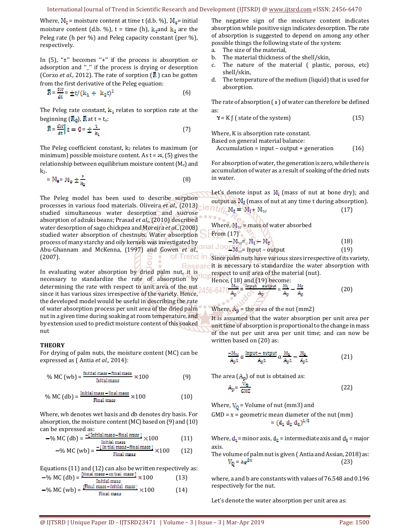Where,  $M_t$  = moisture content at time t (d.b. %),  $M_a$ = initial moisture content (d.b. %),  $t =$  time (h),  $k_1$  and  $k_2$  are the Peleg rate (h per %) and Peleg capacity constant (per %), respectively.

In  $(5)$ , " $\pm$ " becomes " $+$ " if the process is absorption or adsorption and "\_" if the process is drying or desorption (Corzo *et al.,* 2012). The rate of sorption  $(\vec{R})$  can be gotten from the first derivative of the Peleg equation:

$$
\ddot{\mathbf{R}} = \frac{d\mathbf{M}}{dt} = \pm t / (k_1 + k_2 t)^2
$$
 (6)

The Peleg rate constant,  $k_1$  relates to sorption rate at the beginning  $(\mathbf{R}_{0})$ ,  $\mathbf{R}$  at t = t<sub>o</sub>:

$$
\tilde{R} = \frac{dM}{dt} t = 0 = \pm \frac{t}{k_1}
$$
 (7)

The Peleg coefficient constant,  $k_2$  relates to maximum (or minimum) possible moisture content. As  $t = \infty$ , (5) gives the relationship between equilibrium moisture content  $(M_e)$  and k2.

$$
=M_{\rm e} = M_{\rm o} \pm \frac{1}{k_{\rm e}} \tag{8}
$$

The Peleg model has been used to describe sorption processes in various food materials. Oliveira *et al.,* (2013) studied simultaneous water desorption and sucrose absorption of adzuki beans; Prasad *et al*., (2010) described water desorption of sago chickpea and Moreira *et al.*, (2008) studied water absorption of chestnuts. Water absorption process of many starchy and oily kernels was investigated by Abu-Ghannam and McKenna, (1997) and Gowen *et al.,* of Trend (2007).

In evaluating water absorption by dried palm nut, it is necessary to standardize the rate of absorption by determining the rate with respect to unit area of the nut since it has various sizes irrespective of the variety. Hence, the developed model would be useful in describing the rate of water absorption process per unit area of the dried palm nut in a given time during soaking at room temperature, and by extension used to predict moisture content of this soaked nut

## **THEORY**

For drying of palm nuts, the moisture content (MC) can be expressed as ( Antia *et al.,* 2014):

$$
\% MC (wb) = \frac{Initial mass - final mass}{Initial mass} \times 100
$$
 (9)

$$
\% MC \text{ (db)} = \frac{\text{Initial mass} - \text{final mass}}{\text{Final mass}} \times 100 \tag{10}
$$

Where, wb denotes wet basis and db denotes dry basis. For absorption, the moisture content (MC) based on (9) and (10) can be expressed as:

$$
-% MC (db) = \frac{-[Initial mass - final mass]}{Initial mass} \times 100
$$
 (11)

$$
-% MC (wb) = \frac{-[Initial mass - final mass]}{Final mass} \times 100 \qquad (12)
$$

Equations 
$$
(11)
$$
 and  $(12)$  can also be written respectively as:

$$
-% MC (db) = \frac{[final mass - in.131 mass]}{initial mass} \times 100
$$
 (13)

$$
- \% MC (wb) = \frac{[Final mass - initial mass]}{Final mass} \times 100
$$
 (14)

The negative sign of the moisture content indicates absorption while positive sign indicates desorption. The rate of absorption is suggested to depend on among any other possible things the following state of the system:

- a. The size of the material,
- b. The material thickness of the shell/skin,
- c. The nature of the material ( plastic, porous, etc) shell/skin,
- d. The temperature of the medium (liquid) that is used for absorption.

The rate of absorption  $\left( \cdot \right)$  of water can therefore be defined as:

$$
\mathbf{v} = \mathbf{K} \mathbf{f} \text{ (state of the system)} \tag{15}
$$

Where, K is absorption rate constant.

Based on general material balance:

 $Accumulation = input - output + generation$  (16)

For absorption of water, the generation is zero, while there is accumulation of water as a result of soaking of the dried nuts in water.

Let's denote input as  $M_i$  (mass of nut at bone dry); and<br>output as  $M_f$  (mass of nut at any time t during absorption).<br> $H_i = M_i + M_w$  (17) output as  $M_f$  (mass of nut at any time t during absorption).

$$
M_f = M_f + M_w \tag{17}
$$

Where,  $M_w$  = mass of water absorbed

From (17)  
\n
$$
-M_w = M_f - M_f
$$
 (18)  
\n $-M_v = M_f - M_f$  (18)

$$
-M_w = input - output
$$
 (19)

**In** Since palm nuts have various sizes irrespective of its variety, Researc it is necessary to standardize the water absorption with respect to unit area of the material (nut). Hence, (18) and (19) heromo-

$$
\frac{456-6470 \frac{M_W}{A_p}}{456-6470 \frac{M_W}{A_p}} = \frac{m_{\text{part}}}{A_p} = \frac{M_l}{A_p} - \frac{M_f}{A_p} \tag{20}
$$

Where,  $A_p$  = the area of the nut (mm2)

 $\cdot$   $\cdot$   $\circ$   $\sigma$ 

It is assumed that the water absorption per unit area per unit time of absorption is proportional to the change in mass of the nut per unit area per unit time; and can now be written based on (20) as:

$$
\frac{-M_{\text{av}}}{A_{\text{p}}t} \alpha \frac{\text{Input} - \text{output}}{A_{\text{p}}t} \alpha \frac{M_1}{A_{\text{p}}t} - \frac{M_2}{A_{\text{p}}t} \tag{21}
$$

The area  $(A_n)$  of nut is obtained as:

$$
A_p = \frac{V_q}{GME} \tag{22}
$$

Where,  $V_0$  = Volume of nut (mm3) and

 $GMD = x = geometric mean diameter of the nut (mm)$ =  $(d_1 d_2 d_3)^{1/2}$ 

Where,  $d_1$  = minor axis,  $d_2$  = intermediate axis and  $d_3$  = major axis.

The volume of palm nut is given (Antia and Assian, 2018) as:  

$$
V_{\mathbf{Q}} = a e^{\hat{\mathbf{D}}\mathbf{x}}
$$
(23)

where, a and b are constants with values of 76.548 and 0.196 respectively for the nut.

Let's denote the water absorption per unit area as: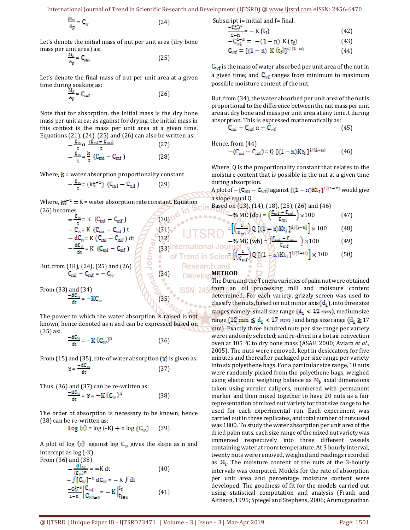International Journal of Trend in Scientific Research and Development (IJTSRD) @ www.ijtsrd.com eISSN: 2456-6470

$$
\frac{M_W}{A_p} = C_W \tag{24}
$$

Let's denote the initial mass of nut per unit area (dry bone mass per unit area) as:

$$
\frac{M_i}{A_p} = C_{mi} \tag{25}
$$

Let's denote the final mass of nut per unit area at a given time during soaking as:

$$
\frac{M_f}{A_p} = C_{\text{rad}} \tag{26}
$$

Note that for absorption, the initial mass is the dry bone mass per unit area; as against for drying, the initial mass in this context is the mass per unit area at a given time. Equations (21), (24), (25) and (26) can also be written as:

$$
-\frac{C_{w}}{t} \alpha \frac{(C_{mi} - C_{mi})}{t}
$$
(27)  

$$
-\frac{C_{w}}{t} = \frac{k}{t} (C_{mi} - C_{mf})
$$
(28)

Where,  $\bf{k}$  = water absorption proportionality constant

$$
-\frac{c_{\rm w}}{t} = (kt^{-1}) (C_{\rm mi} - C_{\rm mf})
$$
 (29)

Where,  $kt^{-1} = K$  = water absorption rate constant. Equation (26) becomes

> $(30)$  $(31)$  $(32)$

ö

of Trend in

$$
-\frac{C_W}{t} = K \quad (C_{mi} - C_{mf})
$$
  
\n
$$
-C_W = K \quad (C_{mi} - C_{mf}) t
$$
  
\n
$$
- dC_W = K \quad (C_{mi} - C_{mf}) dt
$$
  
\n
$$
-\frac{dC_W}{dt} = K \quad (C_{mi} - C_{mf})
$$

But, from (18), (24), (25) and (26)  $=-C_w$  (34)

From (33) and (34)  $=-KC_{\rm w}$  (35)

The power to which the water absorption is raised is not known, hence denoted as n and can be expressed based on (35) as:

$$
\frac{-dC_{W}}{dt} = -K(C_{W})^{n}
$$
 (36)

From  $(15)$  and  $(35)$ , rate of water absorption  $( \mathbf{r} )$  is given as:

$$
b = \frac{-dC_{\mathcal{M}}}{dt} \tag{37}
$$

Thus, (36) and (37) can be re-written as:

$$
\frac{\partial u_{\rm w}}{\partial t} = \gamma = -K (C_{\rm w})^2 \tag{38}
$$

The order of absorption is necessary to be known; hence (38) can be re-written as:

 $Log(x) = log(-K) + n log(C_w)$  (39)

A plot of log  $(x)$  against log  $C_w$  gives the slope as n and intercept as log (-K) From (36) and (38)

$$
-\frac{dC_w}{(C_w)^n} = -K dt
$$
(40)  

$$
-\int [C_w]^{-n} dC_w = -K \int dt
$$
  

$$
-\frac{C_w^{2-n}}{1-n} \Big|_{C_w}^{C_w} = -K \Big|_{t=0}^{t_f}
$$
(41)

Subscript 
$$
i
$$
 = initial and  $f$  = final.

$$
\frac{-v_{\text{wf}}}{1-n} = -K(t_f) \tag{42}
$$
\n
$$
-C_{\text{wf}}^{1-n} = -(1-n) K(t_f) \tag{43}
$$

$$
C_{\text{wf}} = [(1 - n) \ K (t_f)]^{1/(1 - n)}
$$
(14)

 $C_{\text{wt}}$  is the mass of water absorbed per unit area of the nut in a given time; and  $C_{wf}$  ranges from minimum to maximum possible moisture content of the nut.

But, from (34), the water absorbed per unit area of the nut is proportional to the difference between the nut mass per unit area at dry bone and mass per unit area at any time, t during absorption. This is expressed mathematically as:

$$
C_{mi} - C_{mf} \alpha - C_{wf} \tag{45}
$$

Hence, from (44)

$$
-(C_{\text{ini}} - C_{\text{ini}}) = Q [(1 - n)Kt_f]^{1/(1 - n)}
$$
 (46)

Where, Q is the proportionality constant that relates to the moisture content that is possible in the nut at a given time during absorption.

A plot of  $-(C_{\text{mi}} - C_{\text{wf}})$  against  $[(1 - n)Kt_f]^{1/(1-n)}$  would give a slope equal Q

% MC (db) = 
$$
\left(\frac{v_{\text{m1}} - v_{\text{m1}}}{c_{\text{m1}}}\right) \times 100
$$
 (47)

$$
= \left[ \left( \frac{v}{v_{\text{mi}}} \right) Q \left[ (1 - v) K t_f \right]^{1/(1-n)} \right] \times 100 \tag{48}
$$

% MC (wb) = 
$$
\left(\frac{C_{\text{mf}} - C_{\text{m}}}{C_{\text{mf}}}\right) \times 100
$$
 (49)

(33)International Journal  
of Trend in Scientific  

$$
(\frac{1}{c_{\text{int}}})Q_{\text{H}}(1/n) \text{Kt}_{\text{f}}1^{4/(1-n)} \times 100
$$
 (50)

 $\frac{3}{5}$   $\frac{8}{5}$ 

**Research and DevelonMETHOD** 

ie Based

 $\ddot{\phantom{a}}$ 

The Dura and the Tenera varieties of palm nut were obtained from an oil processing mill and moisture content determined. For each variety, grizzly screen was used to classify the nuts, based on nut minor axis(d<sub>1</sub>), into three size ranges namely: small size range (d<sub>1</sub> 
$$
\leq
$$
 12 mm), medium size range (12 mm  $\leq$  d<sub>1</sub>  $\leq$  17 mm) and large size range (d<sub>1</sub>  $\geq$  17 mm). Exactly three hundred nuts per size range per variety were randomly selected; and re-dried in a hot air convection oven at 105 °C to dry bone mass (ASAE, 2000; Aviara *et al.*, 2005). The nuts were removed, kept in descators for five minutes and thereafter packaged per size range per variety into six polyethene bags. For a particular size range, 10 nuts were randomly picked from the polyethene bags, weighed using electronic weighing balance as M<sub>i</sub>, axial dimensions taken using vernier calipers, numbered with permanent marker and then mixed together to have 20 nuts as a fair representation of mixed nut variety for that size range to be used for each experimental run. Each experiment was carried out in three replicates, and total number of nuts used was 1800. To study the water absorption per unit area of the dried palm nuts, each size range of the mixed nut variety was immersed respectively into three different vessels containing water at room temperature. At 3 hourly interval, twenty nuts were removed, weighed and readings recorded as M<sub>1</sub>. The moisture content of the nuts at the 3-hourly intervals was computed. Models for the rate of absorption per unit area and percentage moisture content were developed. The goodness of fit for the models carried out using statistical computation and analysis (Frank and Altheon, 1995; Spiegel and Stephens, 2006; Arumuganathan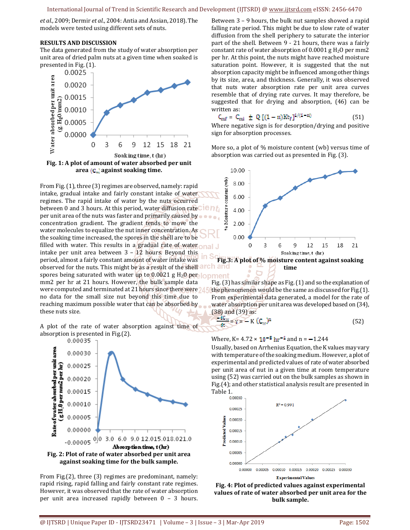*et al.,* 2009; Dermir *et al*., 2004: Antia and Assian, 2018). The models were tested using different sets of nuts.

#### **RESULTS AND DISCUSSION**

The data generated from the study of water absorption per unit area of dried palm nuts at a given time when soaked is presented in Fig. (1).



From Fig. (1), three (3) regimes are observed, namely: rapid intake, gradual intake and fairly constant intake of water regimes. The rapid intake of water by the nuts occurred between 0 and 3 hours. At this period, water diffusion rateClent per unit area of the nuts was faster and primarily caused by concentration gradient. The gradient tends to move the water molecules to equalize the nut inner concentration. As the soaking time increased, the spores in the shell are to be filled with water. This results in a gradual rate of water  $\Box$ intake per unit area between 3 – 12 hours. Beyond this period, almost a fairly constant amount of water intake was observed for the nuts. This might be as a result of the shell arch and spores being saturated with water up to 0.0021 g H<sub>2</sub>0 per lopment mm2 per hr at 21 hours. However, the bulk sample data were computed and terminated at 21 hours since there were 24 no data for the small size nut beyond this time due to reaching maximum possible water that can be absorbed by these nuts size.

A plot of the rate of water absorption against time of absorption is presented in Fig.(2).



From Fig.(2), three (3) regimes are predominant, namely: rapid rising, rapid falling and fairly constant rate regimes. However, it was observed that the rate of water absorption per unit area increased rapidly between 0 – 3 hours. Between 3 – 9 hours, the bulk nut samples showed a rapid falling rate period. This might be due to slow rate of water diffusion from the shell periphery to saturate the interior part of the shell. Between 9 - 21 hours, there was a fairly constant rate of water absorption of  $0.0001$  g  $H<sub>2</sub>O$  per mm2 per hr. At this point, the nuts might have reached moisture saturation point. However, it is suggested that the nut absorption capacity might be influenced among other things by its size, area, and thickness. Generally, it was observed that nuts water absorption rate per unit area curves resemble that of drying rate curves. It may therefore, be suggested that for drying and absorption, (46) can be written as:

$$
C_{\text{mf}} = C_{\text{mi}} \pm Q \left[ (1 - n) K t_f \right]^{1/(1 - n)} \tag{51}
$$

Where negative sign is for desorption/drying and positive sign for absorption processes.

More so, a plot of % moisture content (wb) versus time of absorption was carried out as presented in Fig. (3).



Fig. (3) has similar shape as Fig. (1) and so the explanation of the phenomenon would be the same as discussed for Fig.(1). From experimental data generated, a model for the rate of water absorption per unit area was developed based on (34), (38) and (39) as:

$$
\frac{-dC_W}{dt} = y = -K (C_W)^n
$$
 (52)

Where, K=  $4.72 \times 10^{-8}$  hr<sup>-1</sup> and n =  $-1.244$ 

Usually, based on Arrhenius Equation, the K values may vary with temperature of the soaking medium. However, a plot of experimental and predicted values of rate of water absorbed per unit area of nut in a given time at room temperature using (52) was carried out on the bulk samples as shown in Fig.(4); and other statistical analysis result are presented in Table 1.<br><sup>0.00030</sup>



**Fig. 4: Plot of predicted values against experimental values of rate of water absorbed per unit area for the bulk sample.**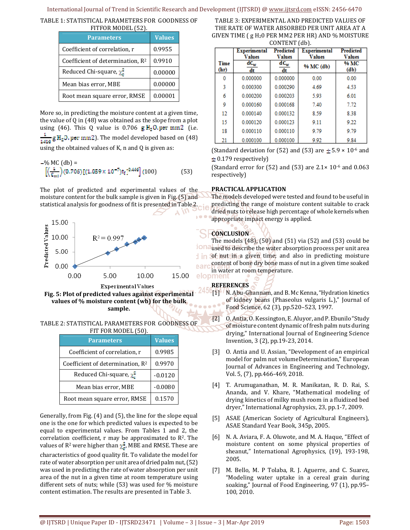## International Journal of Trend in Scientific Research and Development (IJTSRD) @ www.ijtsrd.com eISSN: 2456-6470

TABLE 1: STATISTICAL PARAMETERS FOR GOODNESS OF FITFOR MODEL (52).

| <b>Parameters</b>                   | <b>Values</b> |
|-------------------------------------|---------------|
| Coefficient of correlation, r       | 0.9955        |
| Coefficient of determination, $R^2$ | 0.9910        |
| Reduced Chi-square, $\chi^2$        | 0.00000       |
| Mean bias error, MBE                | 0.00000       |
| Root mean square error, RMSE        | 0.00001       |

More so, in predicting the moisture content at a given time, the value of Q in (48) was obtained as the slope from a plot using (46). This Q value is 0.706  $g H<sub>2</sub>$ O.per mm2 (i.e.  $\frac{1}{1416}$  g H<sub>2</sub>0, per mm2). The model developed based on (48) using the obtained values of K, n and Q is given as:

$$
- \% MC (db) =
$$
  

$$
\left[ \left( \frac{1}{c_{ml}} \right) (0.706) [(1.059 \times 10^{-7}) \text{tr}]^{0.446} \right] (100)
$$
 (53)

The plot of predicted and experimental values of the moisture content for the bulk sample is given in Fig. (5) and statistical analysis for goodness of fit is presented in Table 2.



**Fig. 5: Plot of predicted values against experimental values of % moisture content (wb) for the bulk sample.** 

TABLE 2: STATISTICAL PARAMETERS FOR GOODNESS OF FIT FOR MODEL (50).

| <b>Parameters</b>                            | <b>Values</b> |  |
|----------------------------------------------|---------------|--|
| Coefficient of correlation, r                | 0.9985        |  |
| Coefficient of determination, R <sup>2</sup> | 0.9970        |  |
| Reduced Chi-square, $\chi^2$                 | $-0.0120$     |  |
| Mean bias error, MBE                         | $-0.0080$     |  |
| Root mean square error, RMSE                 | 0.1570        |  |

Generally, from Fig. (4) and (5), the line for the slope equal one is the one for which predicted values is expected to be equal to experimental values. From Tables 1 and 2, the correlation coefficient,  $r$  may be approximated to  $R^2$ . The values of R<sup>2</sup> were higher than  $\chi^2$ , MBE and RMSE. These are

characteristics of good quality fit. To validate the model for rate of water absorption per unit area of dried palm nut, (52) was used in predicting the rate of water absorption per unit area of the nut in a given time at room temperature using different sets of nuts; while (53) was used for % moisture content estimation. The results are presented in Table 3.

TABLE 3: EXPERIMENTAL AND PREDICTED VALUES OF THE RATE OF WATER ABSORBED PER UNIT AREA AT A GIVEN TIME ( $g$  H<sub>2</sub>O PER MM2 PER HR) AND % MOISTURE CONTENT (db).

|              | Experimental<br><b>Values</b> | <b>Predicted</b><br><b>Values</b> | <b>Experimental</b><br><b>Values</b> | <b>Predicted</b><br><b>Values</b> |
|--------------|-------------------------------|-----------------------------------|--------------------------------------|-----------------------------------|
| Time<br>(hr) | $dC_w$<br>dt                  | $\overline{\text{dC}_{w}}$<br>dt  | % MC (db)                            | % MC<br>(d <sub>b</sub> )         |
| 0            | 0.000000                      | 0.000000                          | 0.00                                 | 0.00                              |
| 3            | 0.000300                      | 0.000290                          | 4.69                                 | 4.53                              |
| 6            | 0.000200                      | 0.000203                          | 5.93                                 | 6.01                              |
| ٥            | 0.000160                      | 0.000168                          | 7.40                                 | 7.72                              |
| 12           | 0.000140                      | 0.000132                          | 8.59                                 | 8.38                              |
| 15           | 0.000120                      | 0.000123                          | 9.11                                 | 9.22                              |
| 18           | 0.000110                      | 0.000110                          | 9.79                                 | 9.79                              |
| 21           | 0.000100                      | 0.000100                          | 992                                  | 9.84                              |

(Standard deviation for (52) and (53) are  $\pm$  5.9  $\times$  10<sup>-6</sup> and  $\pm$  0.179 respectively)

(Standard error for  $(52)$  and  $(53)$  are  $2.1 \times 10^{-6}$  and  $0.063$ respectively)

# **PRACTICAL APPLICATION**

The models developed were tested and found to be useful in predicting the range of moisture content suitable to crack dried nuts to release high percentage of whole kernels when appropriate impact energy is applied.

# **CONCLUSION**

The models (48), (50) and (51) via (52) and (53) could be used to describe the water absorption process per unit area of nut in a given time; and also in predicting moisture content of bone dry bone mass of nut in a given time soaked **elopment**<br> **elopment** 

# **REFERENCES**

- [1] N. Abu-Ghannam, and B. Mc Kenna, "Hydration kinetics" of kidney beans (Phaseolus vulgaris L.)," Journal of Food Science, 62 (3), pp.520–523, 1997.
- [2] O. Antia, O. Kessington, E. Aluyor, and P. Ebunilo "Study of moisture content dynamic of fresh palm nuts during drying," International Journal of Engineering Science Invention, 3 (2), pp.19-23, 2014.
- [3] O. Antia and U. Assian, "Development of an empirical model for palm nut volumeDetermination," European Journal of Advances in Engineering and Technology, Vol. 5, (7), pp.466-469, 2018.
- [4] T. Arumuganathan, M. R. Manikatan, R. D. Rai, S. Ananda, and V. Khare, "Mathematical modeling of drying kinetics of milky mush room in a fluidized bed dryer," International Agrophysics, 23, pp.1-7, 2009.
- [5] ASAE (American Society of Agricultural Engineers), ASAE Standard Year Book, 345p, 2005.
- [6] N. A. Aviara, F. A. Oluwote, and M. A. Haque, "Effect of moisture content on some physical properties of sheanut," International Agrophysics, (19), 193-198, 2005.
- [7] M. Bello, M. P Tolaba, R. J. Aguerre, and C. Suarez, "Modeling water uptake in a cereal grain during soaking," Journal of Food Engineering, 97 (1), pp.95– 100, 2010.